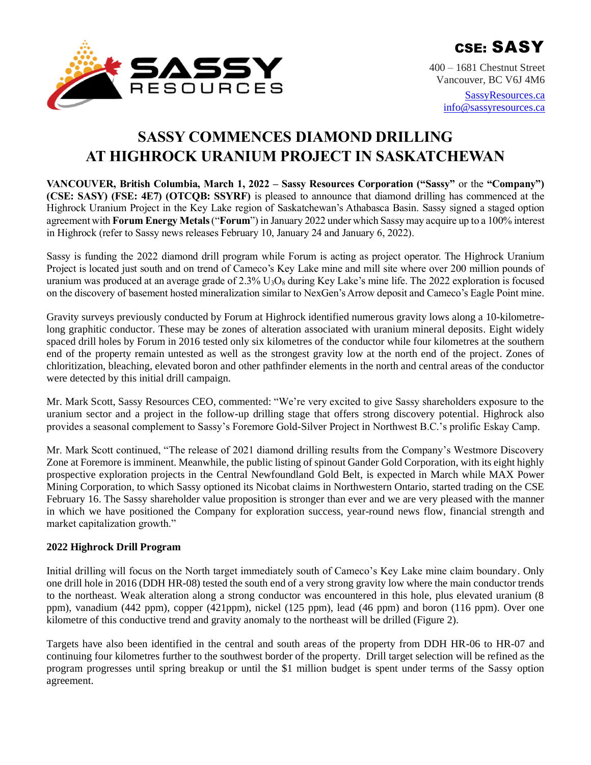

400 – 1681 Chestnut Street Vancouver, BC V6J 4M6

> [SassyResources.ca](http://www.sassyresources.ca/) [info@sassyresources.ca](mailto:info@sassyresources.ca)

# **SASSY COMMENCES DIAMOND DRILLING AT HIGHROCK URANIUM PROJECT IN SASKATCHEWAN**

**VANCOUVER, British Columbia, March 1, 2022 – Sassy Resources Corporation ("Sassy"** or the **"Company") (CSE: SASY) (FSE: 4E7) (OTCQB: SSYRF)** is pleased to announce that diamond drilling has commenced at the Highrock Uranium Project in the Key Lake region of Saskatchewan's Athabasca Basin. Sassy signed a staged option agreement with **Forum Energy Metals**("**Forum**") in January 2022 under which Sassy may acquire up to a 100% interest in Highrock (refer to Sassy news releases February 10, January 24 and January 6, 2022).

Sassy is funding the 2022 diamond drill program while Forum is acting as project operator. The Highrock Uranium Project is located just south and on trend of Cameco's Key Lake mine and mill site where over 200 million pounds of uranium was produced at an average grade of  $2.3\%$  U<sub>3</sub>O<sub>8</sub> during Key Lake's mine life. The 2022 exploration is focused on the discovery of basement hosted mineralization similar to NexGen's Arrow deposit and Cameco's Eagle Point mine.

Gravity surveys previously conducted by Forum at Highrock identified numerous gravity lows along a 10-kilometrelong graphitic conductor. These may be zones of alteration associated with uranium mineral deposits. Eight widely spaced drill holes by Forum in 2016 tested only six kilometres of the conductor while four kilometres at the southern end of the property remain untested as well as the strongest gravity low at the north end of the project. Zones of chloritization, bleaching, elevated boron and other pathfinder elements in the north and central areas of the conductor were detected by this initial drill campaign.

Mr. Mark Scott, Sassy Resources CEO, commented: "We're very excited to give Sassy shareholders exposure to the uranium sector and a project in the follow-up drilling stage that offers strong discovery potential. Highrock also provides a seasonal complement to Sassy's Foremore Gold-Silver Project in Northwest B.C.'s prolific Eskay Camp.

Mr. Mark Scott continued, "The release of 2021 diamond drilling results from the Company's Westmore Discovery Zone at Foremore is imminent. Meanwhile, the public listing of spinout Gander Gold Corporation, with its eight highly prospective exploration projects in the Central Newfoundland Gold Belt, is expected in March while MAX Power Mining Corporation, to which Sassy optioned its Nicobat claims in Northwestern Ontario, started trading on the CSE February 16. The Sassy shareholder value proposition is stronger than ever and we are very pleased with the manner in which we have positioned the Company for exploration success, year-round news flow, financial strength and market capitalization growth."

## **2022 Highrock Drill Program**

Initial drilling will focus on the North target immediately south of Cameco's Key Lake mine claim boundary. Only one drill hole in 2016 (DDH HR-08) tested the south end of a very strong gravity low where the main conductor trends to the northeast. Weak alteration along a strong conductor was encountered in this hole, plus elevated uranium (8 ppm), vanadium (442 ppm), copper (421ppm), nickel (125 ppm), lead (46 ppm) and boron (116 ppm). Over one kilometre of this conductive trend and gravity anomaly to the northeast will be drilled (Figure 2).

Targets have also been identified in the central and south areas of the property from DDH HR-06 to HR-07 and continuing four kilometres further to the southwest border of the property. Drill target selection will be refined as the program progresses until spring breakup or until the \$1 million budget is spent under terms of the Sassy option agreement.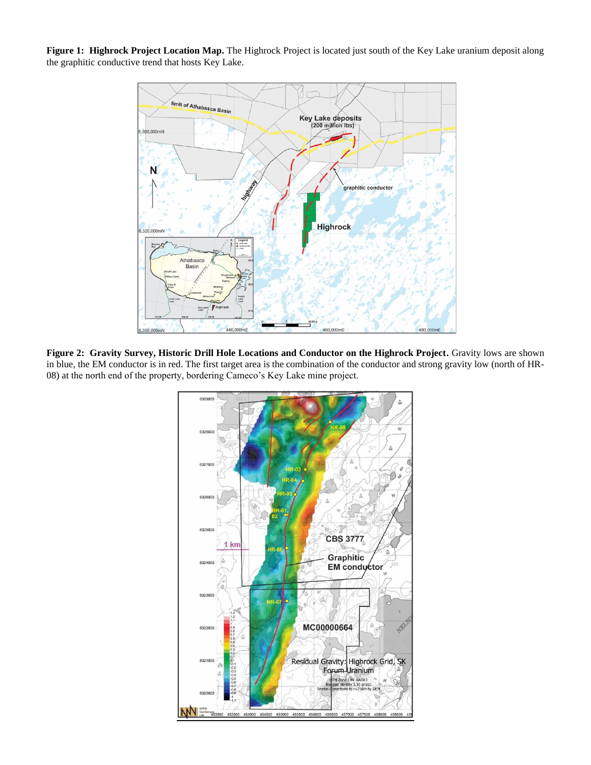**Figure 1: Highrock Project Location Map.** The Highrock Project is located just south of the Key Lake uranium deposit along the graphitic conductive trend that hosts Key Lake.



**Figure 2: Gravity Survey, Historic Drill Hole Locations and Conductor on the Highrock Project.** Gravity lows are shown in blue, the EM conductor is in red. The first target area is the combination of the conductor and strong gravity low (north of HR-08) at the north end of the property, bordering Cameco's Key Lake mine project.